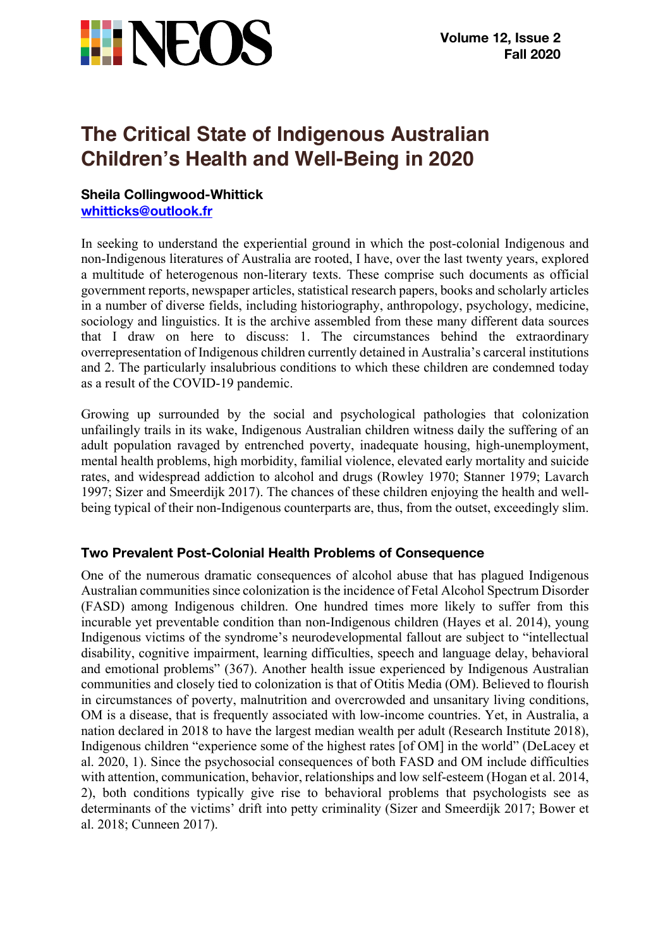

# **The Critical State of Indigenous Australian Children's Health and Well-Being in 2020**

# **Sheila Collingwood-Whittick whitticks@outlook.fr**

In seeking to understand the experiential ground in which the post-colonial Indigenous and non-Indigenous literatures of Australia are rooted, I have, over the last twenty years, explored a multitude of heterogenous non-literary texts. These comprise such documents as official government reports, newspaper articles, statistical research papers, books and scholarly articles in a number of diverse fields, including historiography, anthropology, psychology, medicine, sociology and linguistics. It is the archive assembled from these many different data sources that I draw on here to discuss: 1. The circumstances behind the extraordinary overrepresentation of Indigenous children currently detained in Australia's carceral institutions and 2. The particularly insalubrious conditions to which these children are condemned today as a result of the COVID-19 pandemic.

Growing up surrounded by the social and psychological pathologies that colonization unfailingly trails in its wake, Indigenous Australian children witness daily the suffering of an adult population ravaged by entrenched poverty, inadequate housing, high-unemployment, mental health problems, high morbidity, familial violence, elevated early mortality and suicide rates, and widespread addiction to alcohol and drugs (Rowley 1970; Stanner 1979; Lavarch 1997; Sizer and Smeerdijk 2017). The chances of these children enjoying the health and wellbeing typical of their non-Indigenous counterparts are, thus, from the outset, exceedingly slim.

## **Two Prevalent Post-Colonial Health Problems of Consequence**

One of the numerous dramatic consequences of alcohol abuse that has plagued Indigenous Australian communities since colonization is the incidence of Fetal Alcohol Spectrum Disorder (FASD) among Indigenous children. One hundred times more likely to suffer from this incurable yet preventable condition than non-Indigenous children (Hayes et al. 2014), young Indigenous victims of the syndrome's neurodevelopmental fallout are subject to "intellectual disability, cognitive impairment, learning difficulties, speech and language delay, behavioral and emotional problems" (367). Another health issue experienced by Indigenous Australian communities and closely tied to colonization is that of Otitis Media (OM). Believed to flourish in circumstances of poverty, malnutrition and overcrowded and unsanitary living conditions, OM is a disease, that is frequently associated with low-income countries. Yet, in Australia, a nation declared in 2018 to have the largest median wealth per adult (Research Institute 2018), Indigenous children "experience some of the highest rates [of OM] in the world" (DeLacey et al. 2020, 1). Since the psychosocial consequences of both FASD and OM include difficulties with attention, communication, behavior, relationships and low self-esteem (Hogan et al. 2014, 2), both conditions typically give rise to behavioral problems that psychologists see as determinants of the victims' drift into petty criminality (Sizer and Smeerdijk 2017; Bower et al. 2018; Cunneen 2017).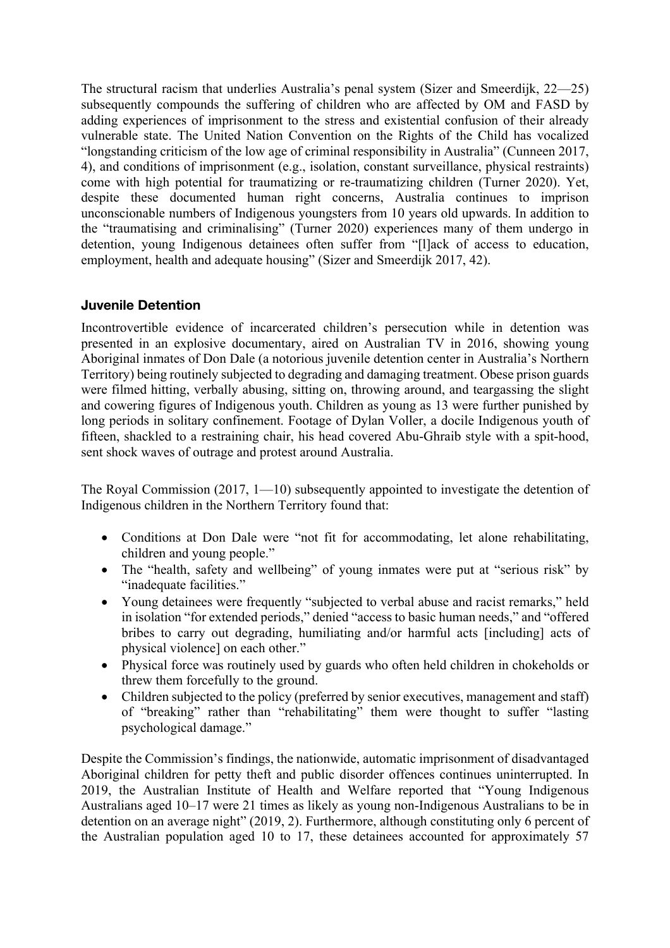The structural racism that underlies Australia's penal system (Sizer and Smeerdijk, 22—25) subsequently compounds the suffering of children who are affected by OM and FASD by adding experiences of imprisonment to the stress and existential confusion of their already vulnerable state. The United Nation Convention on the Rights of the Child has vocalized "longstanding criticism of the low age of criminal responsibility in Australia" (Cunneen 2017, 4), and conditions of imprisonment (e.g., isolation, constant surveillance, physical restraints) come with high potential for traumatizing or re-traumatizing children (Turner 2020). Yet, despite these documented human right concerns, Australia continues to imprison unconscionable numbers of Indigenous youngsters from 10 years old upwards. In addition to the "traumatising and criminalising" (Turner 2020) experiences many of them undergo in detention, young Indigenous detainees often suffer from "[l]ack of access to education, employment, health and adequate housing" (Sizer and Smeerdijk 2017, 42).

## **Juvenile Detention**

Incontrovertible evidence of incarcerated children's persecution while in detention was presented in an explosive documentary, aired on Australian TV in 2016, showing young Aboriginal inmates of Don Dale (a notorious juvenile detention center in Australia's Northern Territory) being routinely subjected to degrading and damaging treatment. Obese prison guards were filmed hitting, verbally abusing, sitting on, throwing around, and teargassing the slight and cowering figures of Indigenous youth. Children as young as 13 were further punished by long periods in solitary confinement. Footage of Dylan Voller, a docile Indigenous youth of fifteen, shackled to a restraining chair, his head covered Abu-Ghraib style with a spit-hood, sent shock waves of outrage and protest around Australia.

The Royal Commission  $(2017, 1)$  subsequently appointed to investigate the detention of Indigenous children in the Northern Territory found that:

- Conditions at Don Dale were "not fit for accommodating, let alone rehabilitating, children and young people."
- The "health, safety and wellbeing" of young inmates were put at "serious risk" by "inadequate facilities."
- Young detainees were frequently "subjected to verbal abuse and racist remarks," held in isolation "for extended periods," denied "access to basic human needs," and "offered bribes to carry out degrading, humiliating and/or harmful acts [including] acts of physical violence] on each other."
- Physical force was routinely used by guards who often held children in chokeholds or threw them forcefully to the ground.
- Children subjected to the policy (preferred by senior executives, management and staff) of "breaking" rather than "rehabilitating" them were thought to suffer "lasting psychological damage."

Despite the Commission's findings, the nationwide, automatic imprisonment of disadvantaged Aboriginal children for petty theft and public disorder offences continues uninterrupted. In 2019, the Australian Institute of Health and Welfare reported that "Young Indigenous Australians aged 10–17 were 21 times as likely as young non-Indigenous Australians to be in detention on an average night" (2019, 2). Furthermore, although constituting only 6 percent of the Australian population aged 10 to 17, these detainees accounted for approximately 57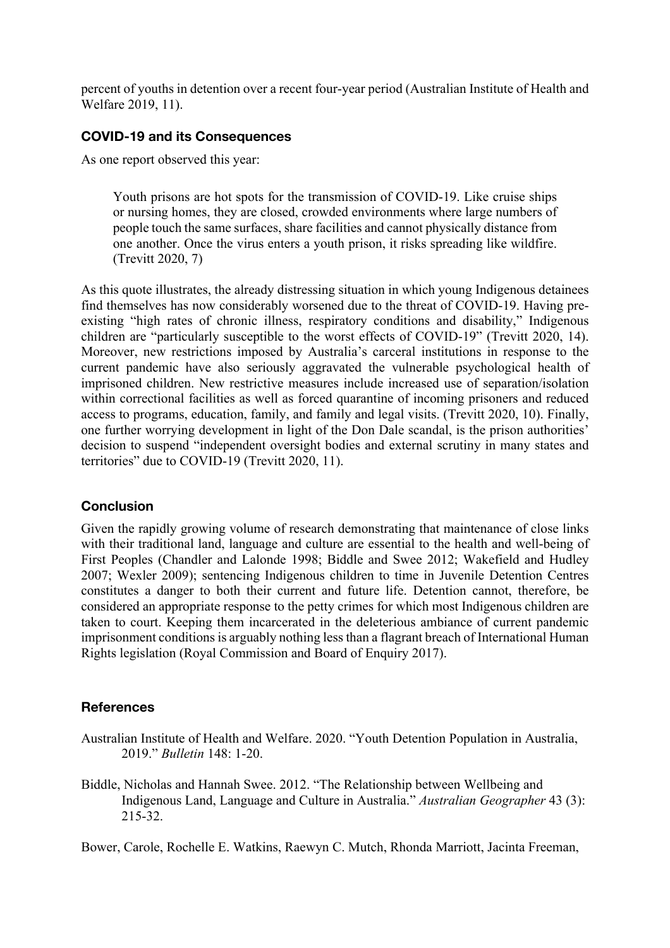percent of youths in detention over a recent four-year period (Australian Institute of Health and Welfare 2019, 11).

#### **COVID-19 and its Consequences**

As one report observed this year:

Youth prisons are hot spots for the transmission of COVID-19. Like cruise ships or nursing homes, they are closed, crowded environments where large numbers of people touch the same surfaces, share facilities and cannot physically distance from one another. Once the virus enters a youth prison, it risks spreading like wildfire. (Trevitt 2020, 7)

As this quote illustrates, the already distressing situation in which young Indigenous detainees find themselves has now considerably worsened due to the threat of COVID-19. Having preexisting "high rates of chronic illness, respiratory conditions and disability," Indigenous children are "particularly susceptible to the worst effects of COVID-19" (Trevitt 2020, 14). Moreover, new restrictions imposed by Australia's carceral institutions in response to the current pandemic have also seriously aggravated the vulnerable psychological health of imprisoned children. New restrictive measures include increased use of separation/isolation within correctional facilities as well as forced quarantine of incoming prisoners and reduced access to programs, education, family, and family and legal visits. (Trevitt 2020, 10). Finally, one further worrying development in light of the Don Dale scandal, is the prison authorities' decision to suspend "independent oversight bodies and external scrutiny in many states and territories" due to COVID-19 (Trevitt 2020, 11).

### **Conclusion**

Given the rapidly growing volume of research demonstrating that maintenance of close links with their traditional land, language and culture are essential to the health and well-being of First Peoples (Chandler and Lalonde 1998; Biddle and Swee 2012; Wakefield and Hudley 2007; Wexler 2009); sentencing Indigenous children to time in Juvenile Detention Centres constitutes a danger to both their current and future life. Detention cannot, therefore, be considered an appropriate response to the petty crimes for which most Indigenous children are taken to court. Keeping them incarcerated in the deleterious ambiance of current pandemic imprisonment conditions is arguably nothing less than a flagrant breach of International Human Rights legislation (Royal Commission and Board of Enquiry 2017).

#### **References**

- Australian Institute of Health and Welfare. 2020. "Youth Detention Population in Australia, 2019." *Bulletin* 148: 1-20.
- Biddle, Nicholas and Hannah Swee. 2012. "The Relationship between Wellbeing and Indigenous Land, Language and Culture in Australia." *Australian Geographer* 43 (3): 215-32.

Bower, Carole, Rochelle E. Watkins, Raewyn C. Mutch, Rhonda Marriott, Jacinta Freeman,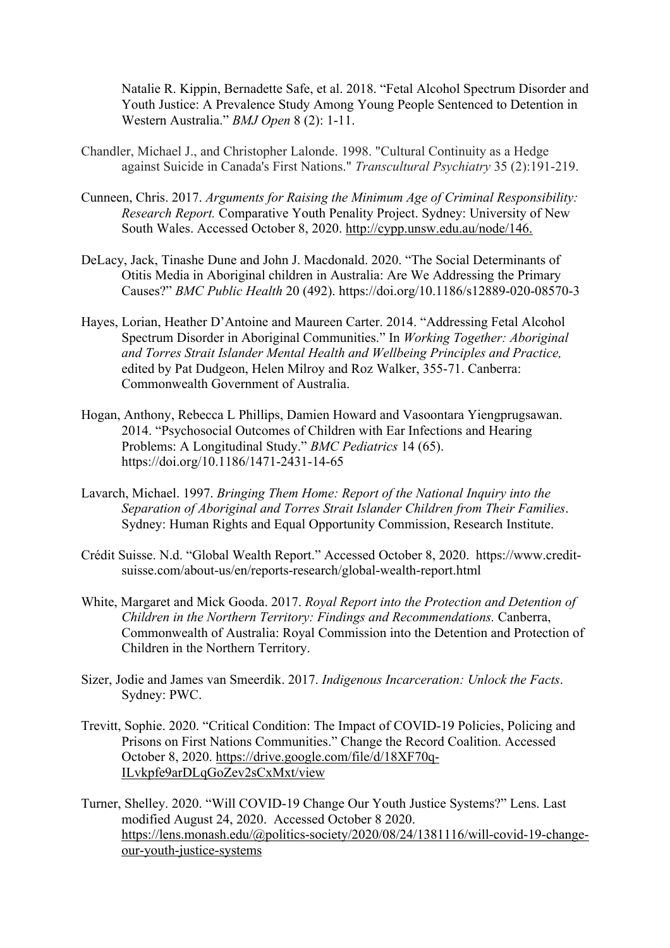Natalie R. Kippin, Bernadette Safe, et al. 2018. "Fetal Alcohol Spectrum Disorder and Youth Justice: A Prevalence Study Among Young People Sentenced to Detention in Western Australia." *BMJ Open* 8 (2): 1-11.

- Chandler, Michael J., and Christopher Lalonde. 1998. "Cultural Continuity as a Hedge against Suicide in Canada's First Nations." *Transcultural Psychiatry* 35 (2):191-219.
- Cunneen, Chris. 2017. *Arguments for Raising the Minimum Age of Criminal Responsibility: Research Report.* Comparative Youth Penality Project. Sydney: University of New South Wales. Accessed October 8, 2020. http://cypp.unsw.edu.au/node/146.
- DeLacy, Jack, Tinashe Dune and John J. Macdonald. 2020. "The Social Determinants of Otitis Media in Aboriginal children in Australia: Are We Addressing the Primary Causes?" *BMC Public Health* 20 (492). https://doi.org/10.1186/s12889-020-08570-3
- Hayes, Lorian, Heather D'Antoine and Maureen Carter. 2014. "Addressing Fetal Alcohol Spectrum Disorder in Aboriginal Communities." In *Working Together: Aboriginal and Torres Strait Islander Mental Health and Wellbeing Principles and Practice,*  edited by Pat Dudgeon, Helen Milroy and Roz Walker, 355-71. Canberra: Commonwealth Government of Australia.
- Hogan, Anthony, Rebecca L Phillips, Damien Howard and Vasoontara Yiengprugsawan. 2014. "Psychosocial Outcomes of Children with Ear Infections and Hearing Problems: A Longitudinal Study." *BMC Pediatrics* 14 (65). https://doi.org/10.1186/1471-2431-14-65
- Lavarch, Michael. 1997. *Bringing Them Home: Report of the National Inquiry into the Separation of Aboriginal and Torres Strait Islander Children from Their Families*. Sydney: Human Rights and Equal Opportunity Commission, Research Institute.
- Crédit Suisse. N.d. "Global Wealth Report." Accessed October 8, 2020. https://www.creditsuisse.com/about-us/en/reports-research/global-wealth-report.html
- White, Margaret and Mick Gooda. 2017. *Royal Report into the Protection and Detention of Children in the Northern Territory: Findings and Recommendations.* Canberra, Commonwealth of Australia: Royal Commission into the Detention and Protection of Children in the Northern Territory.
- Sizer, Jodie and James van Smeerdik. 2017. *Indigenous Incarceration: Unlock the Facts*. Sydney: PWC.
- Trevitt, Sophie. 2020. "Critical Condition: The Impact of COVID-19 Policies, Policing and Prisons on First Nations Communities." Change the Record Coalition. Accessed October 8, 2020. https://drive.google.com/file/d/18XF70q-ILvkpfe9arDLqGoZev2sCxMxt/view
- Turner, Shelley. 2020. "Will COVID-19 Change Our Youth Justice Systems?" Lens. Last modified August 24, 2020. Accessed October 8 2020. https://lens.monash.edu/@politics-society/2020/08/24/1381116/will-covid-19-changeour-youth-justice-systems